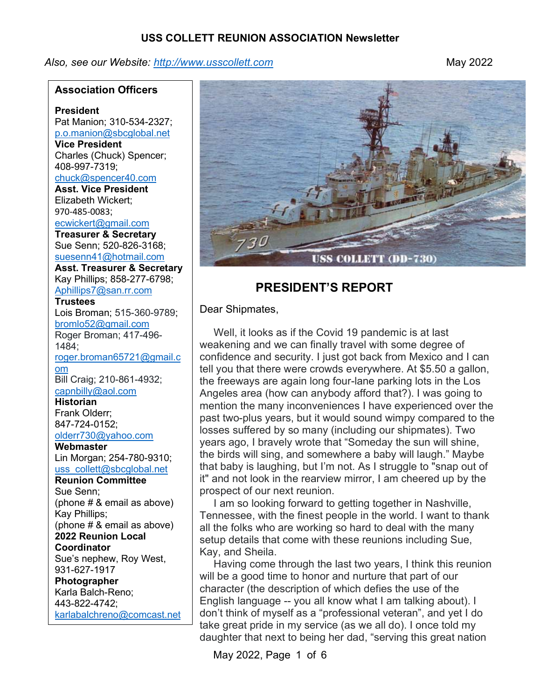Also, see our Website: http://www.usscollett.com example of the May 2022

#### Association Officers

President Pat Manion; 310-534-2327; p.o.manion@sbcglobal.net Vice President Charles (Chuck) Spencer; 408-997-7319; chuck@spencer40.com Asst. Vice President Elizabeth Wickert; 970-485-0083; ecwickert@gmail.com Treasurer & Secretary Sue Senn; 520-826-3168; suesenn41@hotmail.com Asst. Treasurer & Secretary Kay Phillips; 858-277-6798; Aphillips7@san.rr.com **Trustees** Lois Broman; 515-360-9789; bromlo52@gmail.com Roger Broman; 417-496- 1484; roger.broman65721@gmail.c om Bill Craig; 210-861-4932; capnbilly@aol.com

Historian Frank Olderr; 847-724-0152; olderr730@yahoo.com

**Webmaster** Lin Morgan; 254-780-9310; uss\_collett@sbcglobal.net

Reunion Committee Sue Senn; (phone # & email as above) Kay Phillips; (phone # & email as above) 2022 Reunion Local **Coordinator** Sue's nephew, Roy West, 931-627-1917 Photographer Karla Balch-Reno; 443-822-4742; karlabalchreno@comcast.net



# PRESIDENT'S REPORT

Dear Shipmates,

 Well, it looks as if the Covid 19 pandemic is at last weakening and we can finally travel with some degree of confidence and security. I just got back from Mexico and I can tell you that there were crowds everywhere. At \$5.50 a gallon, the freeways are again long four-lane parking lots in the Los Angeles area (how can anybody afford that?). I was going to mention the many inconveniences I have experienced over the past two-plus years, but it would sound wimpy compared to the losses suffered by so many (including our shipmates). Two years ago, I bravely wrote that "Someday the sun will shine, the birds will sing, and somewhere a baby will laugh." Maybe that baby is laughing, but I'm not. As I struggle to "snap out of it" and not look in the rearview mirror, I am cheered up by the prospect of our next reunion.

 I am so looking forward to getting together in Nashville, Tennessee, with the finest people in the world. I want to thank all the folks who are working so hard to deal with the many setup details that come with these reunions including Sue, Kay, and Sheila.

 Having come through the last two years, I think this reunion will be a good time to honor and nurture that part of our character (the description of which defies the use of the English language -- you all know what I am talking about). I don't think of myself as a "professional veteran", and yet I do take great pride in my service (as we all do). I once told my daughter that next to being her dad, "serving this great nation

May 2022, Page 1 of 6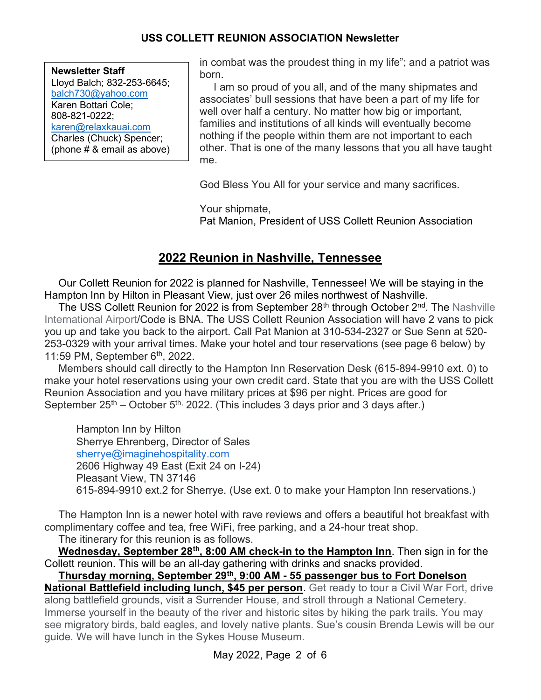| <b>Newsletter Staff</b>    |
|----------------------------|
| Lloyd Balch; 832-253-6645; |
| balch730@yahoo.com         |
| Karen Bottari Cole;        |
| 808-821-0222;              |
| karen@relaxkauai.com       |
| Charles (Chuck) Spencer;   |
| (phone # & email as above) |

in combat was the proudest thing in my life"; and a patriot was born.

 I am so proud of you all, and of the many shipmates and associates' bull sessions that have been a part of my life for well over half a century. No matter how big or important, families and institutions of all kinds will eventually become nothing if the people within them are not important to each other. That is one of the many lessons that you all have taught me.

God Bless You All for your service and many sacrifices.

Your shipmate, Pat Manion, President of USS Collett Reunion Association

# 2022 Reunion in Nashville, Tennessee

 Our Collett Reunion for 2022 is planned for Nashville, Tennessee! We will be staying in the Hampton Inn by Hilton in Pleasant View, just over 26 miles northwest of Nashville.

The USS Collett Reunion for 2022 is from September 28<sup>th</sup> through October 2<sup>nd</sup>. The Nashville International Airport/Code is BNA. The USS Collett Reunion Association will have 2 vans to pick you up and take you back to the airport. Call Pat Manion at 310-534-2327 or Sue Senn at 520- 253-0329 with your arrival times. Make your hotel and tour reservations (see page 6 below) by 11:59 PM, September  $6<sup>th</sup>$ , 2022.

 Members should call directly to the Hampton Inn Reservation Desk (615-894-9910 ext. 0) to make your hotel reservations using your own credit card. State that you are with the USS Collett Reunion Association and you have military prices at \$96 per night. Prices are good for September  $25<sup>th</sup>$  – October  $5<sup>th</sup>$ , 2022. (This includes 3 days prior and 3 days after.)

Hampton Inn by Hilton Sherrye Ehrenberg, Director of Sales sherrye@imaginehospitality.com 2606 Highway 49 East (Exit 24 on I-24) Pleasant View, TN 37146 615-894-9910 ext.2 for Sherrye. (Use ext. 0 to make your Hampton Inn reservations.)

 The Hampton Inn is a newer hotel with rave reviews and offers a beautiful hot breakfast with complimentary coffee and tea, free WiFi, free parking, and a 24-hour treat shop.

The itinerary for this reunion is as follows.

Wednesday, September 28<sup>th</sup>, 8:00 AM check-in to the Hampton Inn. Then sign in for the Collett reunion. This will be an all-day gathering with drinks and snacks provided.

Thursday morning, September 29th, 9:00 AM - 55 passenger bus to Fort Donelson

National Battlefield including lunch, \$45 per person. Get ready to tour a Civil War Fort, drive along battlefield grounds, visit a Surrender House, and stroll through a National Cemetery. Immerse yourself in the beauty of the river and historic sites by hiking the park trails. You may see migratory birds, bald eagles, and lovely native plants. Sue's cousin Brenda Lewis will be our guide. We will have lunch in the Sykes House Museum.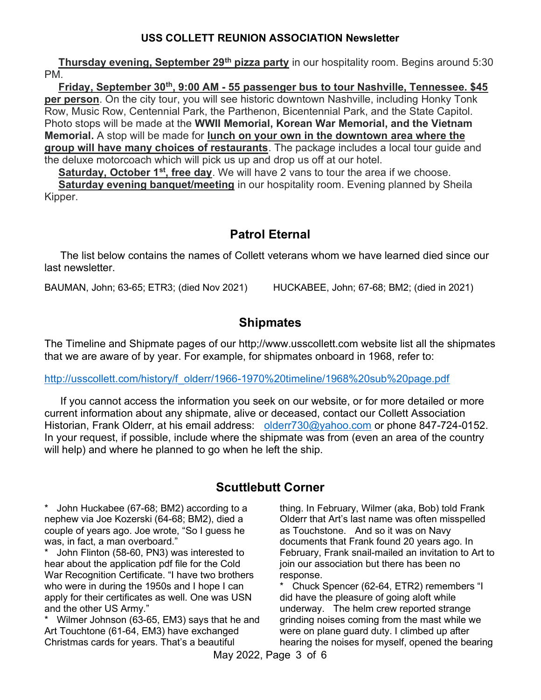Thursday evening, September 29<sup>th</sup> pizza party in our hospitality room. Begins around 5:30 PM.

Friday, September 30<sup>th</sup>, 9:00 AM - 55 passenger bus to tour Nashville, Tennessee. \$45 per person. On the city tour, you will see historic downtown Nashville, including Honky Tonk Row, Music Row, Centennial Park, the Parthenon, Bicentennial Park, and the State Capitol. Photo stops will be made at the WWII Memorial, Korean War Memorial, and the Vietnam Memorial. A stop will be made for lunch on your own in the downtown area where the group will have many choices of restaurants. The package includes a local tour guide and the deluxe motorcoach which will pick us up and drop us off at our hotel.

Saturday, October 1<sup>st</sup>, free day. We will have 2 vans to tour the area if we choose. Saturday evening banquet/meeting in our hospitality room. Evening planned by Sheila Kipper.

# Patrol Eternal

 The list below contains the names of Collett veterans whom we have learned died since our last newsletter.

BAUMAN, John; 63-65; ETR3; (died Nov 2021) HUCKABEE, John; 67-68; BM2; (died in 2021)

# **Shipmates**

The Timeline and Shipmate pages of our http;//www.usscollett.com website list all the shipmates that we are aware of by year. For example, for shipmates onboard in 1968, refer to:

#### http://usscollett.com/history/f\_olderr/1966-1970%20timeline/1968%20sub%20page.pdf

 If you cannot access the information you seek on our website, or for more detailed or more current information about any shipmate, alive or deceased, contact our Collett Association Historian, Frank Olderr, at his email address: olderr730@yahoo.com or phone 847-724-0152. In your request, if possible, include where the shipmate was from (even an area of the country will help) and where he planned to go when he left the ship.

# Scuttlebutt Corner

John Huckabee (67-68; BM2) according to a nephew via Joe Kozerski (64-68; BM2), died a couple of years ago. Joe wrote, "So I guess he was, in fact, a man overboard."

John Flinton (58-60, PN3) was interested to hear about the application pdf file for the Cold War Recognition Certificate. "I have two brothers who were in during the 1950s and I hope I can apply for their certificates as well. One was USN and the other US Army."

\* Wilmer Johnson (63-65, EM3) says that he and Art Touchtone (61-64, EM3) have exchanged Christmas cards for years. That's a beautiful

thing. In February, Wilmer (aka, Bob) told Frank Olderr that Art's last name was often misspelled as Touchstone. And so it was on Navy documents that Frank found 20 years ago. In February, Frank snail-mailed an invitation to Art to join our association but there has been no response.

\* Chuck Spencer (62-64, ETR2) remembers "I did have the pleasure of going aloft while underway. The helm crew reported strange grinding noises coming from the mast while we were on plane guard duty. I climbed up after hearing the noises for myself, opened the bearing

May 2022, Page 3 of 6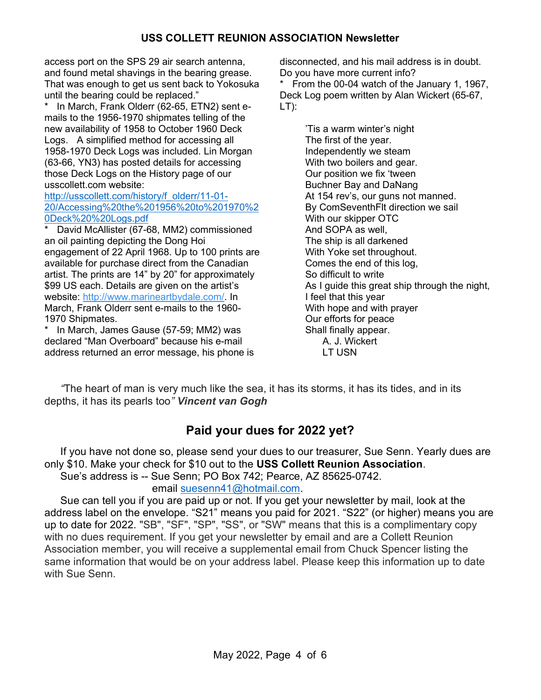access port on the SPS 29 air search antenna, and found metal shavings in the bearing grease. That was enough to get us sent back to Yokosuka until the bearing could be replaced."

In March, Frank Olderr (62-65, ETN2) sent emails to the 1956-1970 shipmates telling of the new availability of 1958 to October 1960 Deck Logs. A simplified method for accessing all 1958-1970 Deck Logs was included. Lin Morgan (63-66, YN3) has posted details for accessing those Deck Logs on the History page of our usscollett.com website:

#### http://usscollett.com/history/f\_olderr/11-01- 20/Accessing%20the%201956%20to%201970%2 0Deck%20%20Logs.pdf

David McAllister (67-68, MM2) commissioned an oil painting depicting the Dong Hoi engagement of 22 April 1968. Up to 100 prints are available for purchase direct from the Canadian artist. The prints are 14" by 20" for approximately \$99 US each. Details are given on the artist's website: http://www.marineartbydale.com/. In March, Frank Olderr sent e-mails to the 1960- 1970 Shipmates.

In March, James Gause (57-59; MM2) was declared "Man Overboard" because his e-mail address returned an error message, his phone is disconnected, and his mail address is in doubt. Do you have more current info?

\* From the 00-04 watch of the January 1, 1967, Deck Log poem written by Alan Wickert (65-67, LT):

> 'Tis a warm winter's night The first of the year. Independently we steam With two boilers and gear. Our position we fix 'tween Buchner Bay and DaNang At 154 rev's, our guns not manned. By ComSeventhFlt direction we sail With our skipper OTC And SOPA as well, The ship is all darkened With Yoke set throughout. Comes the end of this log, So difficult to write As I guide this great ship through the night, I feel that this year With hope and with prayer Our efforts for peace Shall finally appear. A. J. Wickert LT USN

 "The heart of man is very much like the sea, it has its storms, it has its tides, and in its depths, it has its pearls too" Vincent van Gogh

# Paid your dues for 2022 yet?

 If you have not done so, please send your dues to our treasurer, Sue Senn. Yearly dues are only \$10. Make your check for \$10 out to the USS Collett Reunion Association. Sue's address is -- Sue Senn; PO Box 742; Pearce, AZ 85625-0742.

email suesenn41@hotmail.com.

 Sue can tell you if you are paid up or not. If you get your newsletter by mail, look at the address label on the envelope. "S21" means you paid for 2021. "S22" (or higher) means you are up to date for 2022. "SB", "SF", "SP", "SS", or "SW" means that this is a complimentary copy with no dues requirement. If you get your newsletter by email and are a Collett Reunion Association member, you will receive a supplemental email from Chuck Spencer listing the same information that would be on your address label. Please keep this information up to date with Sue Senn.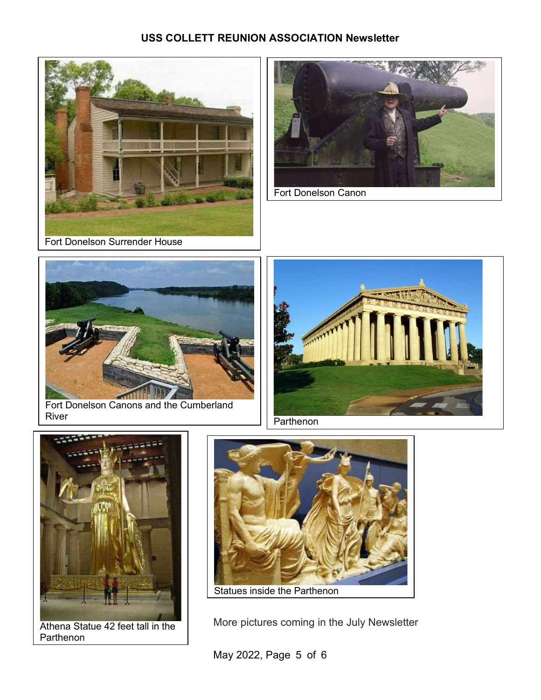







Fort Donelson Canons and the Cumberland River **Property River Parthenon** 



Athena Statue 42 feet tall in the Parthenon



More pictures coming in the July Newsletter

May 2022, Page 5 of 6